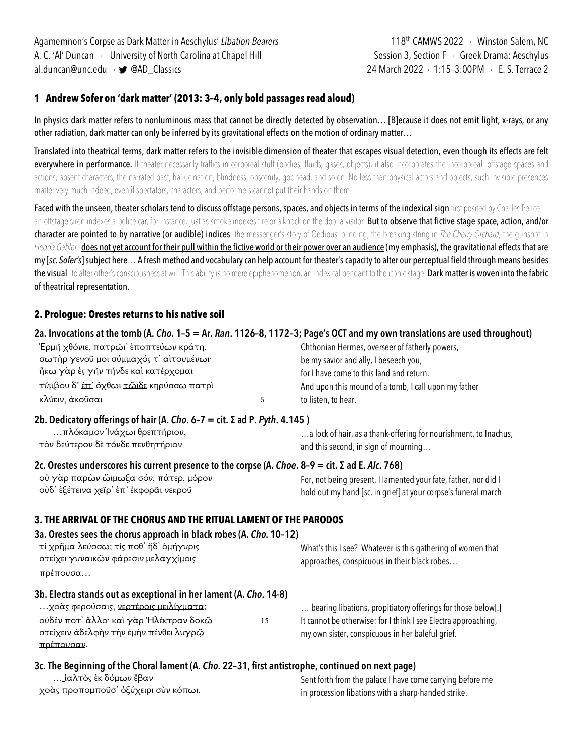### **1 Andrew Sofer on 'dark matter' (2013: 3–4, only bold passages read aloud)**

In physics dark matter refers to nonluminous mass that cannot be directly detected by observation… [B]ecause it does not emit light, x-rays, or any other radiation, dark matter can only be inferred by its gravitational effects on the motion of ordinary matter…

Translated into theatrical terms, dark matter refers to the invisible dimension of theater that escapes visual detection, even though its effects are felt everywhere in performance. If theater necessarily traffics in corporeal stuff (bodies, fluids, gases, objects), it also incorporates the incorporeal: offstage spaces and actions, absent characters, the narrated past, hallucination, blindness, obscenity, godhead, and so on. No less than physical actors and objects, such invisible presences matter very much indeed, even if spectators, characters, and performers cannot put their hands on them.

Faced with the unseen, theater scholars tend to discuss offstage persons, spaces, and objects in terms of the indexical sign first posited by Charles Peirce... an offstage siren indexes a police car, for instance, just as smoke indexes fire or a knock on the door a visitor. But to observe that fictive stage space, action, and/or character are pointed to by narrative (or audible) indices—the messenger's story of Oedipus' blinding, the breaking string in *The Cherry Orchard*, the gunshot in *Hedda Gabler*—does not yet account for their pull within the fictive world or their power over an audience (my emphasis), the gravitational effects that are my[*sc. Sofer's*]subject here… A fresh method and vocabulary can help account for theater's capacity to alter our perceptual field through means besides the visual-to alter other's consciousness at will. This ability is no mere epiphenomenon, an indexical pendant to the iconic stage. Dark matter is woven into the fabric of theatrical representation.

### **2. Prologue: Orestes returns to his native soil**

### **2a. Invocations at the tomb (A.** *Cho***. 1–5 = Ar.** *Ran***. 1126–8, 1172–3; Page's OCT and my own translations are used throughout)**

| Έρμῆ χθόνιε, πατρῶι' ἐποπτεύων κράτη,                 | Chthonian Hermes, overseer of fatherly powers,       |
|-------------------------------------------------------|------------------------------------------------------|
| σωτήρ γενοῦ μοι σύμμαχός τ' αίτουμένωι·               | be my savior and ally, I beseech you,                |
| ἥκω γὰρ ἐ <u>ς γῆν τήνδε</u> καὶ κατέρχομαι           | for I have come to this land and return.             |
| τύμβου δ' <u>ἐπ'</u> ὄχθωι <u>τῶιδε</u> κηρύσσω πατρὶ | And upon this mound of a tomb, I call upon my father |
| κλύειν, ἀκοῦσαι                                       | to listen, to hear.                                  |

#### **2b. Dedicatory offerings of hair (A.** *Cho***. 6–7 = cit. Σ ad P.** *Pyth***. 4.145 )**

| …πλόκαμον Ἰνάχωι θρεπτήριον,      | a lock of hair, as a thank-offering for nourishment, to Inachus, |
|-----------------------------------|------------------------------------------------------------------|
| τὸν δεύτερον δὲ τόνδε πενθητήριον | and this second, in sign of mourning                             |

#### **2c. Orestes underscores his current presence to the corpse (A.** *Choe***. 8–9 = cit. Σ ad E.** *Alc***. 768)**

| οὐ γὰρ παρὼν ὤιμωξα σόν, πάτερ, μόρον  |  | For, n |
|----------------------------------------|--|--------|
| οὐδ' ἐξέτεινα χεῖρ' ἐπ' ἐκφορᾶι νεκροῦ |  | hold c |

ot being present, I lamented your fate, father, nor did I ut my hand [sc. in grief] at your corpse's funeral march

#### **3. THE ARRIVAL OF THE CHORUS AND THE RITUAL LAMENT OF THE PARODOS**

# **3a. Orestes sees the chorus approach in black robes (A.** *Cho***. 10–12)**

πρέπουσαν.

| τί χρῆμα λεύσσω; τίς ποθ' ἥδ' ὁμήγυρις<br>στείχει γυναικών φάρεσιν μελαγχίμοις<br>πρέπουσα |    | What's this I see? Whatever is this gathering of women that<br>approaches, conspicuous in their black robes |
|--------------------------------------------------------------------------------------------|----|-------------------------------------------------------------------------------------------------------------|
| 3b. Electra stands out as exceptional in her lament (A. Cho. 14-8)                         |    |                                                                                                             |
| χοὰς φερούσαις, νερτέροις μειλίγματα;                                                      |    | bearing libations, propitiatory offerings for those below[.]                                                |
| οὐδέν ποτ' ἄλλο· καὶ γὰρ Ήλέκτραν δοκῶ                                                     | 15 | It cannot be otherwise: for I think I see Electra approaching,                                              |
| στείχειν άδελφήν την έμην πένθει λυγρώ                                                     |    | my own sister, conspicuous in her baleful grief.                                                            |

# **3c.The Beginning of the Choral lament (A.** *Cho***. 22–31, first antistrophe, continued on next page)**

 … ἰαλτὸς ἐκ δόμων ἔβαν χοὰς προπομποῦσ' ὀξύχειρι σὺν κόπωι. Sent forth from the palace I have come carrying before me in procession libations with a sharp-handed strike.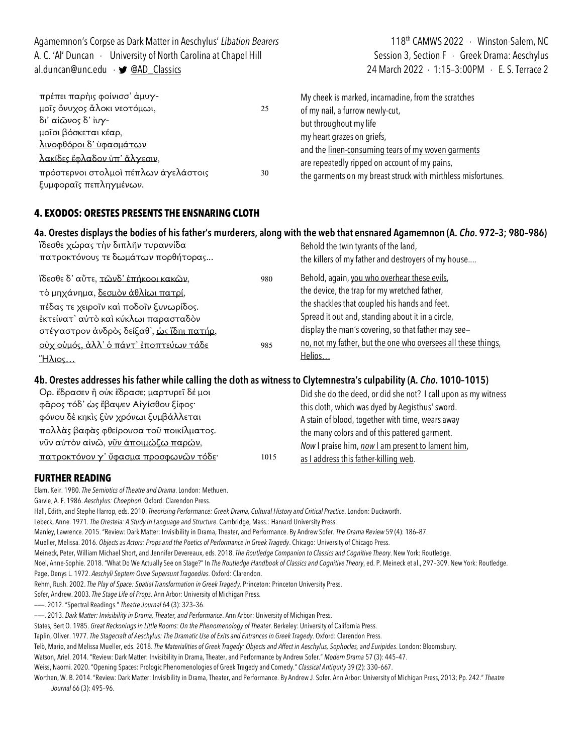Agamemnon's Corpse as Dark Matter in Aeschylus' Libation Bearers 118th CAMWS 2022 · Winston-Salem, NC A. C. 'Al' Duncan · University of North Carolina at Chapel Hill Session 3, Section F · Greek Drama: Aeschylus al.duncan@unc.edu · • @AD\_Classics 24 March 2022 · 1:15-3:00PM · E. S. Terrace 2 πρέπει παρὴις φοίνισσ' ἀμυγμοῖς ὄνυχος ἄλοκι νεοτόμωι, 25 δι' αἰῶνος δ' ἰυγμοῖσι βόσκεται κέαρ, My cheek is marked, incarnadine, from the scratches of my nail, a furrow newly-cut, but throughout my life

λινοφθόροι δ' ὑφασμάτων λακίδες ἔφλαδον ὑπ' ἄλγεσιν, πρόστερνοι στολμοὶ πέπλων ἀγελάστοις 30 ξυμφοραῖς πεπληγμένων.

my heart grazes on griefs, and the linen-consuming tears of my woven garments are repeatedly ripped on account of my pains, the garments on my breast struck with mirthless misfortunes.

# **4. EXODOS: ORESTES PRESENTS THE ENSNARING CLOTH**

# **4a. Orestes displays the bodies of his father's murderers, along with the web that ensnared Agamemnon (A.** *Cho***. 972–3; 980–986)**

ἴδεσθε χώρας τὴν διπλῆν τυραννίδα πατροκτόνους τε δωμάτων πορθήτορας... ἴδεσθε δ' αὖτε, τῶνδ' ἐπήκοοι κακῶν, 980 τὸ μηχάνημα, δεσμὸν ἀθλίωι πατρί, πέδας τε χειροῖν καὶ ποδοῖν ξυνωρίδος. ἐκτείνατ' αὐτὸ καὶ κύκλωι παρασταδὸν στέγαστρον ἀνδρὸς δείξαθ', ὡς ἴδηι πατήρ, οὐχ οὑμός, ἀλλ' ὁ πάντ' ἐποπτεύων τάδε 985 Ἥλιος… Behold the twin tyrants of the land, the killers of my father and destroyers of my house.... Behold, again, you who overhear these evils, the device, the trap for my wretched father, the shackles that coupled his hands and feet. Spread it out and, standing about it in a circle, display the man's covering, so that father may see no, not my father, but the one who oversees all these things, Helios…

#### **4b. Orestes addresses his father while calling the cloth as witness to Clytemnestra's culpability (A.** *Cho***. 1010–1015)**

| Ορ. ἔδρασεν ἢ οὐκ ἔδρασε; μαρτυρεῖ δέ μοι |      | Did she do the deed, or did she not? I call upon as my witness |
|-------------------------------------------|------|----------------------------------------------------------------|
| φᾶρος τόδ' ώς ἔβαψεν Αἰγίσθου ξίφος·      |      | this cloth, which was dyed by Aegisthus' sword.                |
| φόνου δε κηκίς ξύν χρόνωι ξυμβάλλεται     |      | A stain of blood, together with time, wears away               |
| πολλάς βαφάς φθείρουσα τοῦ ποικίλματος.   |      | the many colors and of this pattered garment.                  |
| νῦν αὐτὸν αἰνῶ, νῦν ἀποιμώζω παρών,       |      | Now I praise him, now I am present to lament him,              |
| πατροκτόνον γ' ὕφασμα προσφωνῶν τόδε·     | 1015 | as I address this father-killing web.                          |

# **FURTHER READING**

Elam, Keir. 1980. *The Semiotics of Theatre and Drama*. London: Methuen.

Garvie, A. F. 1986. *Aeschylus: Choephori*. Oxford: Clarendon Press.

Hall, Edith, and Stephe Harrop, eds. 2010. *Theorising Performance: Greek Drama, Cultural History and Critical Practice*. London: Duckworth.

Lebeck, Anne. 1971. *The Oresteia: A Study in Language and Structure*. Cambridge, Mass.: Harvard University Press.

Manley, Lawrence. 2015. "Review: Dark Matter: Invisibility in Drama, Theater, and Performance. By Andrew Sofer. *The Drama Review* 59 (4): 186–87.

Mueller, Melissa. 2016. *Objects as Actors: Props and the Poetics of Performance in Greek Tragedy*. Chicago: University of Chicago Press.

Meineck, Peter, William Michael Short, and Jennifer Devereaux, eds. 2018. *The Routledge Companion to Classics and Cognitive Theory*. New York: Routledge.

Noel, Anne-Sophie. 2018. "What Do We Actually See on Stage?" In *The Routledge Handbook of Classics and Cognitive Theory*, ed. P. Meineck et al., 297–309. New York: Routledge. Page, Denys L. 1972. *Aeschyli Septem Quae Supersunt Tragoedias*. Oxford: Clarendon.

Rehm, Rush. 2002. *The Play of Space: Spatial Transformation in Greek Tragedy*. Princeton: Princeton University Press.

Sofer, Andrew. 2003. *The Stage Life of Props*. Ann Arbor: University of Michigan Press.

———. 2012. "Spectral Readings." *Theatre Journal* 64 (3): 323–36.

———. 2013. *Dark Matter: Invisibility in Drama, Theater, and Performance*. Ann Arbor: University of Michigan Press.

States, Bert O. 1985. *Great Reckonings in Little Rooms: On the Phenomenology of Theater*. Berkeley: University of California Press.

Taplin, Oliver. 1977. *The Stagecraft of Aeschylus: The Dramatic Use of Exits and Entrances in Greek Tragedy*. Oxford: Clarendon Press.

Telò, Mario, and Melissa Mueller, eds. 2018. *The Materialities of Greek Tragedy: Objects and Affect in Aeschylus, Sophocles, and Euripides*. London: Bloomsbury.

Watson, Ariel. 2014. "Review: Dark Matter: Invisibility in Drama, Theater, and Performance by Andrew Sofer." *Modern Drama* 57 (3): 445–47.

Weiss, Naomi. 2020. "Opening Spaces: Prologic Phenomenologies of Greek Tragedy and Comedy." *Classical Antiquity* 39 (2): 330–667.

Worthen, W. B. 2014. "Review: Dark Matter: Invisibility in Drama, Theater, and Performance. By Andrew J. Sofer. Ann Arbor: University of Michigan Press, 2013; Pp. 242." *Theatre Journal* 66 (3): 495–96.